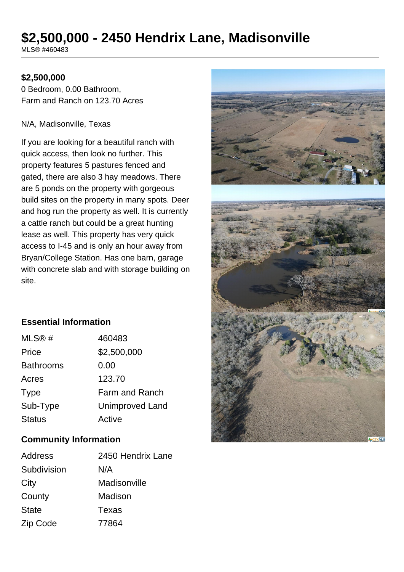# **\$2,500,000 - 2450 Hendrix Lane, Madisonville**

MLS® #460483

#### **\$2,500,000**

0 Bedroom, 0.00 Bathroom, Farm and Ranch on 123.70 Acres

#### N/A, Madisonville, Texas

If you are looking for a beautiful ranch with quick access, then look no further. This property features 5 pastures fenced and gated, there are also 3 hay meadows. There are 5 ponds on the property with gorgeous build sites on the property in many spots. Deer and hog run the property as well. It is currently a cattle ranch but could be a great hunting lease as well. This property has very quick access to I-45 and is only an hour away from Bryan/College Station. Has one barn, garage with concrete slab and with storage building on site.



#### **Essential Information**

| MLS@#            | 460483                 |
|------------------|------------------------|
| Price            | \$2,500,000            |
| <b>Bathrooms</b> | 0.00                   |
| Acres            | 123.70                 |
| <b>Type</b>      | Farm and Ranch         |
| Sub-Type         | <b>Unimproved Land</b> |
| <b>Status</b>    | Active                 |

#### **Community Information**

| Address      | 2450 Hendrix Lane |
|--------------|-------------------|
| Subdivision  | N/A               |
| City         | Madisonville      |
| County       | Madison           |
| <b>State</b> | Texas             |
| Zip Code     | 77864             |